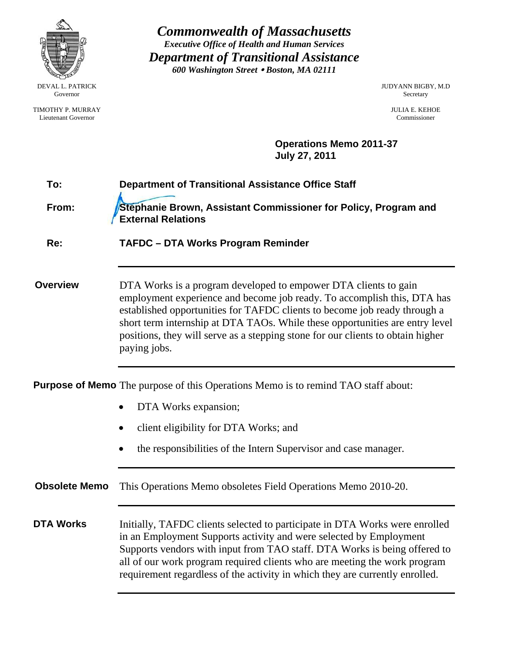| 600 Washington Street . Boston, MA 02111                                                                                                                                                                                                                                                                                                                                                                   | <b>JUDYANN BIGBY, M.D</b><br>Secretary<br><b>JULIA E. KEHOE</b><br>Commissioner |
|------------------------------------------------------------------------------------------------------------------------------------------------------------------------------------------------------------------------------------------------------------------------------------------------------------------------------------------------------------------------------------------------------------|---------------------------------------------------------------------------------|
|                                                                                                                                                                                                                                                                                                                                                                                                            |                                                                                 |
| <b>July 27, 2011</b>                                                                                                                                                                                                                                                                                                                                                                                       |                                                                                 |
| <b>Department of Transitional Assistance Office Staff</b>                                                                                                                                                                                                                                                                                                                                                  |                                                                                 |
| Stephanie Brown, Assistant Commissioner for Policy, Program and<br><b>External Relations</b>                                                                                                                                                                                                                                                                                                               |                                                                                 |
| <b>TAFDC - DTA Works Program Reminder</b>                                                                                                                                                                                                                                                                                                                                                                  |                                                                                 |
| DTA Works is a program developed to empower DTA clients to gain<br>employment experience and become job ready. To accomplish this, DTA has<br>established opportunities for TAFDC clients to become job ready through a<br>short term internship at DTA TAOs. While these opportunities are entry level<br>positions, they will serve as a stepping stone for our clients to obtain higher<br>paying jobs. |                                                                                 |
| <b>Purpose of Memo</b> The purpose of this Operations Memo is to remind TAO staff about:                                                                                                                                                                                                                                                                                                                   |                                                                                 |
| DTA Works expansion;                                                                                                                                                                                                                                                                                                                                                                                       |                                                                                 |
| client eligibility for DTA Works; and                                                                                                                                                                                                                                                                                                                                                                      |                                                                                 |
| the responsibilities of the Intern Supervisor and case manager.                                                                                                                                                                                                                                                                                                                                            |                                                                                 |
| This Operations Memo obsoletes Field Operations Memo 2010-20.                                                                                                                                                                                                                                                                                                                                              |                                                                                 |
| Initially, TAFDC clients selected to participate in DTA Works were enrolled<br>in an Employment Supports activity and were selected by Employment<br>Supports vendors with input from TAO staff. DTA Works is being offered to<br>all of our work program required clients who are meeting the work program<br>requirement regardless of the activity in which they are currently enrolled.                |                                                                                 |
|                                                                                                                                                                                                                                                                                                                                                                                                            | <b>Operations Memo 2011-37</b>                                                  |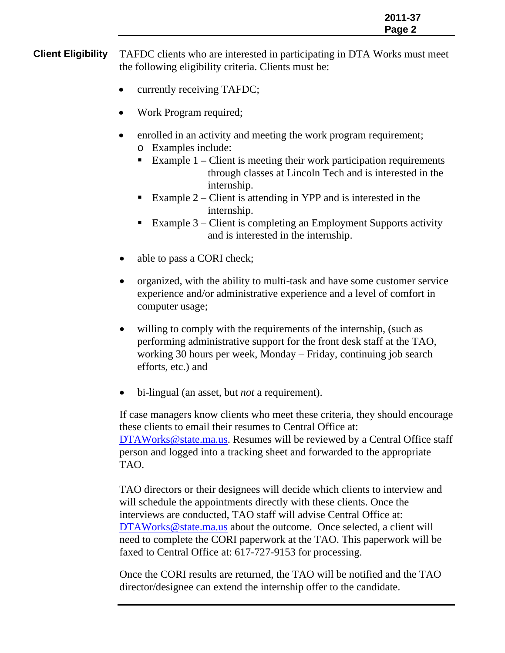**Client Eligibility** TAFDC clients who are interested in participating in DTA Works must meet the following eligibility criteria. Clients must be:

- currently receiving TAFDC;
- Work Program required;
- enrolled in an activity and meeting the work program requirement; o Examples include:
	- Example  $1$  Client is meeting their work participation requirements through classes at Lincoln Tech and is interested in the internship.
	- Example 2 Client is attending in YPP and is interested in the internship.
	- Example  $3$  Client is completing an Employment Supports activity and is interested in the internship.
- able to pass a CORI check;
- organized, with the ability to multi-task and have some customer service experience and/or administrative experience and a level of comfort in computer usage;
- willing to comply with the requirements of the internship, (such as performing administrative support for the front desk staff at the TAO, working 30 hours per week, Monday – Friday, continuing job search efforts, etc.) and
- bi-lingual (an asset, but *not* a requirement).

If case managers know clients who meet these criteria, they should encourage these clients to email their resumes to Central Office at: DTAWorks@state.ma.us. Resumes will be reviewed by a Central Office staff person and logged into a tracking sheet and forwarded to the appropriate TAO.

TAO directors or their designees will decide which clients to interview and will schedule the appointments directly with these clients. Once the interviews are conducted, TAO staff will advise Central Office at: DTAWorks@state.ma.us about the outcome. Once selected, a client will need to complete the CORI paperwork at the TAO. This paperwork will be faxed to Central Office at: 617-727-9153 for processing.

Once the CORI results are returned, the TAO will be notified and the TAO director/designee can extend the internship offer to the candidate.